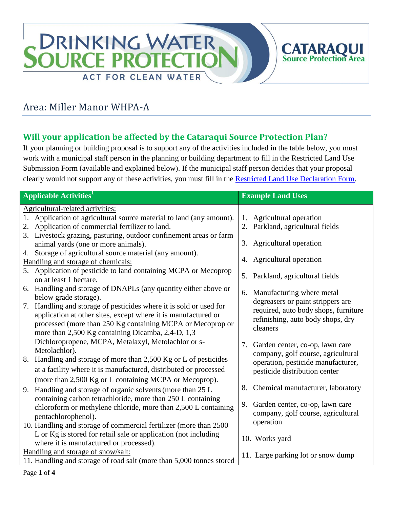

# Area: Miller Manor WHPA-A

## **Will your application be affected by the Cataraqui Source Protection Plan?**

If your planning or building proposal is to support any of the activities included in the table below, you must work with a municipal staff person in the planning or building department to fill in the Restricted Land Use Submission Form (available and explained below). If the municipal staff person decides that your proposal clearly would not support any of these activities, you must fill in the [Restricted Land Use Declaration Form.](http://www.cleanwatercataraqui.ca/publications/RestrictedLandUseDeclarationForm-Web.pdf)

| <b>Applicable Activities</b> <sup>1</sup>                                                                                                                                                                                                                  | <b>Example Land Uses</b>                                                                                                   |
|------------------------------------------------------------------------------------------------------------------------------------------------------------------------------------------------------------------------------------------------------------|----------------------------------------------------------------------------------------------------------------------------|
| Agricultural-related activities:                                                                                                                                                                                                                           |                                                                                                                            |
| 1. Application of agricultural source material to land (any amount).                                                                                                                                                                                       | 1. Agricultural operation                                                                                                  |
| 2. Application of commercial fertilizer to land.                                                                                                                                                                                                           | 2. Parkland, agricultural fields                                                                                           |
| 3. Livestock grazing, pasturing, outdoor confinement areas or farm<br>animal yards (one or more animals).                                                                                                                                                  | 3. Agricultural operation                                                                                                  |
| Storage of agricultural source material (any amount).<br>4.                                                                                                                                                                                                |                                                                                                                            |
| Handling and storage of chemicals:                                                                                                                                                                                                                         | 4. Agricultural operation                                                                                                  |
| 5. Application of pesticide to land containing MCPA or Mecoprop<br>on at least 1 hectare.                                                                                                                                                                  | 5. Parkland, agricultural fields                                                                                           |
| 6. Handling and storage of DNAPLs (any quantity either above or<br>below grade storage).                                                                                                                                                                   | 6. Manufacturing where metal                                                                                               |
| Handling and storage of pesticides where it is sold or used for<br>7.<br>application at other sites, except where it is manufactured or<br>processed (more than 250 Kg containing MCPA or Mecoprop or<br>more than 2,500 Kg containing Dicamba, 2,4-D, 1,3 | degreasers or paint strippers are<br>required, auto body shops, furniture<br>refinishing, auto body shops, dry<br>cleaners |
| Dichloropropene, MCPA, Metalaxyl, Metolachlor or s-<br>Metolachlor).                                                                                                                                                                                       | Garden center, co-op, lawn care<br>7.                                                                                      |
| 8. Handling and storage of more than 2,500 Kg or L of pesticides<br>at a facility where it is manufactured, distributed or processed<br>(more than 2,500 Kg or L containing MCPA or Mecoprop).                                                             | company, golf course, agricultural<br>operation, pesticide manufacturer,<br>pesticide distribution center                  |
| Handling and storage of organic solvents (more than 25 L                                                                                                                                                                                                   | Chemical manufacturer, laboratory<br>8.                                                                                    |
| 9.<br>containing carbon tetrachloride, more than 250 L containing<br>chloroform or methylene chloride, more than 2,500 L containing<br>pentachlorophenol).                                                                                                 | 9. Garden center, co-op, lawn care<br>company, golf course, agricultural                                                   |
| 10. Handling and storage of commercial fertilizer (more than 2500                                                                                                                                                                                          | operation                                                                                                                  |
| L or Kg is stored for retail sale or application (not including<br>where it is manufactured or processed).                                                                                                                                                 | 10. Works yard                                                                                                             |
| Handling and storage of snow/salt:                                                                                                                                                                                                                         | 11. Large parking lot or snow dump                                                                                         |
| 11. Handling and storage of road salt (more than 5,000 tonnes stored                                                                                                                                                                                       |                                                                                                                            |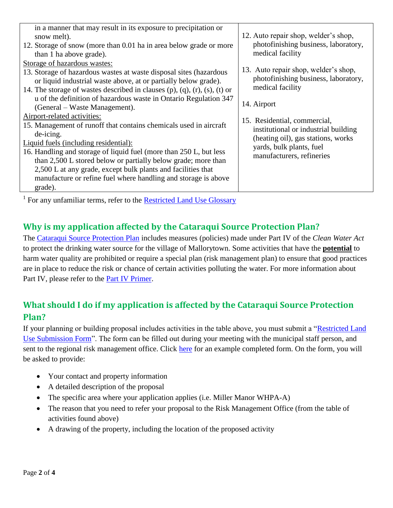| in a manner that may result in its exposure to precipitation or<br>snow melt).<br>12. Storage of snow (more than 0.01 ha in area below grade or more<br>than 1 ha above grade).                                                                                                                                                                                                                                                            | 12. Auto repair shop, welder's shop,<br>photofinishing business, laboratory,<br>medical facility                                                                    |
|--------------------------------------------------------------------------------------------------------------------------------------------------------------------------------------------------------------------------------------------------------------------------------------------------------------------------------------------------------------------------------------------------------------------------------------------|---------------------------------------------------------------------------------------------------------------------------------------------------------------------|
| Storage of hazardous wastes:<br>13. Storage of hazardous wastes at waste disposal sites (hazardous<br>or liquid industrial waste above, at or partially below grade).<br>14. The storage of wastes described in clauses (p), (q), (r), (s), (t) or<br>u of the definition of hazardous waste in Ontario Regulation 347<br>(General – Waste Management).                                                                                    | 13. Auto repair shop, welder's shop,<br>photofinishing business, laboratory,<br>medical facility<br>14. Airport                                                     |
| Airport-related activities:<br>15. Management of runoff that contains chemicals used in aircraft<br>de-icing.<br>Liquid fuels (including residential):<br>16. Handling and storage of liquid fuel (more than 250 L, but less<br>than 2,500 L stored below or partially below grade; more than<br>2,500 L at any grade, except bulk plants and facilities that<br>manufacture or refine fuel where handling and storage is above<br>grade). | 15. Residential, commercial,<br>institutional or industrial building<br>(heating oil), gas stations, works<br>yards, bulk plants, fuel<br>manufacturers, refineries |
|                                                                                                                                                                                                                                                                                                                                                                                                                                            |                                                                                                                                                                     |

<sup>1</sup> For any unfamiliar terms, refer to the **Restricted Land Use Glossary** 

### **Why is my application affected by the Cataraqui Source Protection Plan?**

The [Cataraqui Source Protection Plan](http://cleanwatercataraqui.ca/studies-and-reports/cataraqui-source-protection-plan-explanatory-document/) includes measures (policies) made under Part IV of the *Clean Water Act* to protect the drinking water source for the village of Mallorytown. Some activities that have the **potential** to harm water quality are prohibited or require a special plan (risk management plan) to ensure that good practices are in place to reduce the risk or chance of certain activities polluting the water. For more information about Part IV, please refer to the [Part IV Primer.](http://www.cleanwatercataraqui.ca/publications/CataraquiRegionPartIVPrimer.pdf)

# **What should I do if my application is affected by the Cataraqui Source Protection Plan?**

If your planning or building proposal includes activities in the table above, you must submit a ["Restricted Land](http://www.cleanwatercataraqui.ca/publications/RestrictedLandUseSubmissionForm-Web.pdf)  [Use Submission Form"](http://www.cleanwatercataraqui.ca/publications/RestrictedLandUseSubmissionForm-Web.pdf). The form can be filled out during your meeting with the municipal staff person, and sent to the regional risk management office. Click [here](http://www.cleanwatercataraqui.ca/publications/RestrictedLandUseSubmissionForm-Ex-Web.pdf) for an example completed form. On the form, you will be asked to provide:

- Your contact and property information
- A detailed description of the proposal
- The specific area where your application applies (i.e. Miller Manor WHPA-A)
- The reason that you need to refer your proposal to the Risk Management Office (from the table of activities found above)
- A drawing of the property, including the location of the proposed activity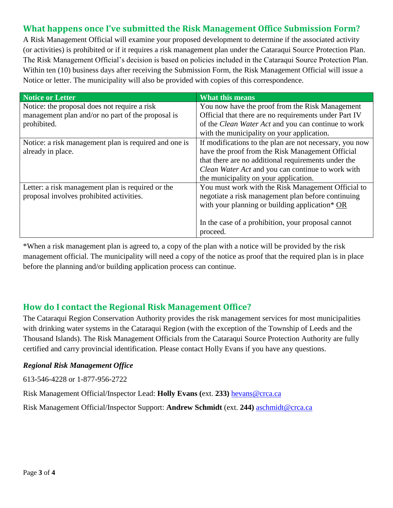### **What happens once I've submitted the Risk Management Office Submission Form?**

A Risk Management Official will examine your proposed development to determine if the associated activity (or activities) is prohibited or if it requires a risk management plan under the Cataraqui Source Protection Plan. The Risk Management Official's decision is based on policies included in the Cataraqui Source Protection Plan. Within ten (10) business days after receiving the Submission Form, the Risk Management Official will issue a Notice or letter. The municipality will also be provided with copies of this correspondence.

| Notice or Letter                                      | <b>What this means</b>                                  |
|-------------------------------------------------------|---------------------------------------------------------|
| Notice: the proposal does not require a risk          | You now have the proof from the Risk Management         |
| management plan and/or no part of the proposal is     | Official that there are no requirements under Part IV   |
| prohibited.                                           | of the Clean Water Act and you can continue to work     |
|                                                       | with the municipality on your application.              |
| Notice: a risk management plan is required and one is | If modifications to the plan are not necessary, you now |
| already in place.                                     | have the proof from the Risk Management Official        |
|                                                       | that there are no additional requirements under the     |
|                                                       | Clean Water Act and you can continue to work with       |
|                                                       | the municipality on your application.                   |
| Letter: a risk management plan is required or the     | You must work with the Risk Management Official to      |
| proposal involves prohibited activities.              | negotiate a risk management plan before continuing      |
|                                                       | with your planning or building application* OR          |
|                                                       |                                                         |
|                                                       | In the case of a prohibition, your proposal cannot      |
|                                                       | proceed.                                                |

\*When a risk management plan is agreed to, a copy of the plan with a notice will be provided by the risk management official. The municipality will need a copy of the notice as proof that the required plan is in place before the planning and/or building application process can continue.

#### **How do I contact the Regional Risk Management Office?**

The Cataraqui Region Conservation Authority provides the risk management services for most municipalities with drinking water systems in the Cataraqui Region (with the exception of the Township of Leeds and the Thousand Islands). The Risk Management Officials from the Cataraqui Source Protection Authority are fully certified and carry provincial identification. Please contact Holly Evans if you have any questions.

#### *Regional Risk Management Office*

613-546-4228 or 1-877-956-2722

Risk Management Official/Inspector Lead: **Holly Evans (**ext. **233)** [hevans@crca.ca](mailto:hevans@crca.ca)

Risk Management Official/Inspector Support: **Andrew Schmidt** (ext. **244)** [aschmidt@crca.ca](mailto:aschmidt@crca.ca)